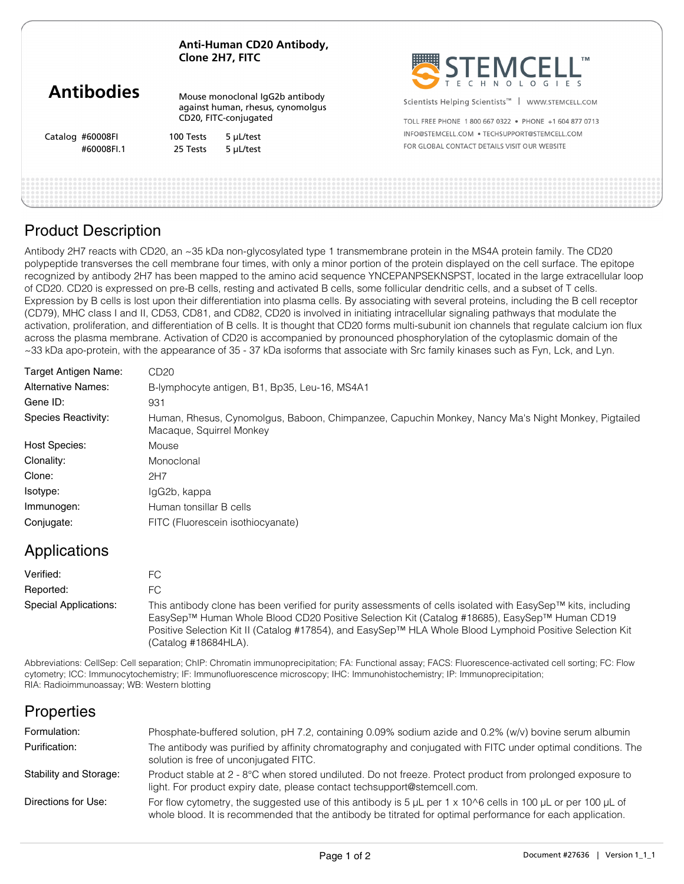|                   | Anti-Human CD20 Antibody,<br>Clone 2H7, FITC                                                  |           | SEEMCELL                                                       |  |
|-------------------|-----------------------------------------------------------------------------------------------|-----------|----------------------------------------------------------------|--|
| <b>Antibodies</b> | Mouse monoclonal IgG2b antibody<br>against human, rhesus, cynomolgus<br>CD20, FITC-conjugated |           | Scientists Helping Scientists <sup>™</sup><br>WWW.STEMCELL.COM |  |
|                   |                                                                                               |           | TOLL FREE PHONE 1800 667 0322 • PHONE +1 604 877 0713          |  |
| Catalog #60008FI  | 100 Tests                                                                                     | 5 µL/test | INFO@STEMCELL.COM . TECHSUPPORT@STEMCELL.COM                   |  |
| #60008FI.1        | 25 Tests                                                                                      | 5 µL/test | FOR GLOBAL CONTACT DETAILS VISIT OUR WEBSITE                   |  |
|                   |                                                                                               |           |                                                                |  |
|                   |                                                                                               |           |                                                                |  |
|                   |                                                                                               |           |                                                                |  |

### Product Description

Antibody 2H7 reacts with CD20, an ~35 kDa non-glycosylated type 1 transmembrane protein in the MS4A protein family. The CD20 polypeptide transverses the cell membrane four times, with only a minor portion of the protein displayed on the cell surface. The epitope recognized by antibody 2H7 has been mapped to the amino acid sequence YNCEPANPSEKNSPST, located in the large extracellular loop of CD20. CD20 is expressed on pre-B cells, resting and activated B cells, some follicular dendritic cells, and a subset of T cells. Expression by B cells is lost upon their differentiation into plasma cells. By associating with several proteins, including the B cell receptor (CD79), MHC class I and II, CD53, CD81, and CD82, CD20 is involved in initiating intracellular signaling pathways that modulate the activation, proliferation, and differentiation of B cells. It is thought that CD20 forms multi-subunit ion channels that regulate calcium ion flux across the plasma membrane. Activation of CD20 is accompanied by pronounced phosphorylation of the cytoplasmic domain of the ~33 kDa apo-protein, with the appearance of 35 - 37 kDa isoforms that associate with Src family kinases such as Fyn, Lck, and Lyn.

| Target Antigen Name:       | CD20                                                                                                                           |  |  |  |
|----------------------------|--------------------------------------------------------------------------------------------------------------------------------|--|--|--|
| <b>Alternative Names:</b>  | B-lymphocyte antigen, B1, Bp35, Leu-16, MS4A1                                                                                  |  |  |  |
| Gene ID:                   | 931                                                                                                                            |  |  |  |
| <b>Species Reactivity:</b> | Human, Rhesus, Cynomolgus, Baboon, Chimpanzee, Capuchin Monkey, Nancy Ma's Night Monkey, Pigtailed<br>Macaque, Squirrel Monkey |  |  |  |
| Host Species:              | Mouse                                                                                                                          |  |  |  |
| Clonality:                 | Monoclonal                                                                                                                     |  |  |  |
| Clone:                     | 2H7                                                                                                                            |  |  |  |
| Isotype:                   | IgG2b, kappa                                                                                                                   |  |  |  |
| Immunogen:                 | Human tonsillar B cells                                                                                                        |  |  |  |
| Conjugate:                 | FITC (Fluorescein isothiocyanate)                                                                                              |  |  |  |

### Applications

| Verified:             | FС                                                                                                                                                                                                                                                                                                                                               |
|-----------------------|--------------------------------------------------------------------------------------------------------------------------------------------------------------------------------------------------------------------------------------------------------------------------------------------------------------------------------------------------|
| Reported:             | FC.                                                                                                                                                                                                                                                                                                                                              |
| Special Applications: | This antibody clone has been verified for purity assessments of cells isolated with EasySep™ kits, including<br>EasySep™ Human Whole Blood CD20 Positive Selection Kit (Catalog #18685), EasySep™ Human CD19<br>Positive Selection Kit II (Catalog #17854), and EasySep™ HLA Whole Blood Lymphoid Positive Selection Kit<br>(Catalog #18684HLA). |

Abbreviations: CellSep: Cell separation; ChIP: Chromatin immunoprecipitation; FA: Functional assay; FACS: Fluorescence-activated cell sorting; FC: Flow cytometry; ICC: Immunocytochemistry; IF: Immunofluorescence microscopy; IHC: Immunohistochemistry; IP: Immunoprecipitation; RIA: Radioimmunoassay; WB: Western blotting

# **Properties**

| Formulation:           | Phosphate-buffered solution, pH 7.2, containing 0.09% sodium azide and 0.2% (w/v) bovine serum albumin                                                                                                                                            |
|------------------------|---------------------------------------------------------------------------------------------------------------------------------------------------------------------------------------------------------------------------------------------------|
| Purification:          | The antibody was purified by affinity chromatography and conjugated with FITC under optimal conditions. The<br>solution is free of unconjugated FITC.                                                                                             |
| Stability and Storage: | Product stable at 2 - 8°C when stored undiluted. Do not freeze. Protect product from prolonged exposure to<br>light. For product expiry date, please contact techsupport@stemcell.com.                                                            |
| Directions for Use:    | For flow cytometry, the suggested use of this antibody is 5 $\mu$ L per 1 x 10 $\circ$ 6 cells in 100 $\mu$ L or per 100 $\mu$ L of<br>whole blood. It is recommended that the antibody be titrated for optimal performance for each application. |